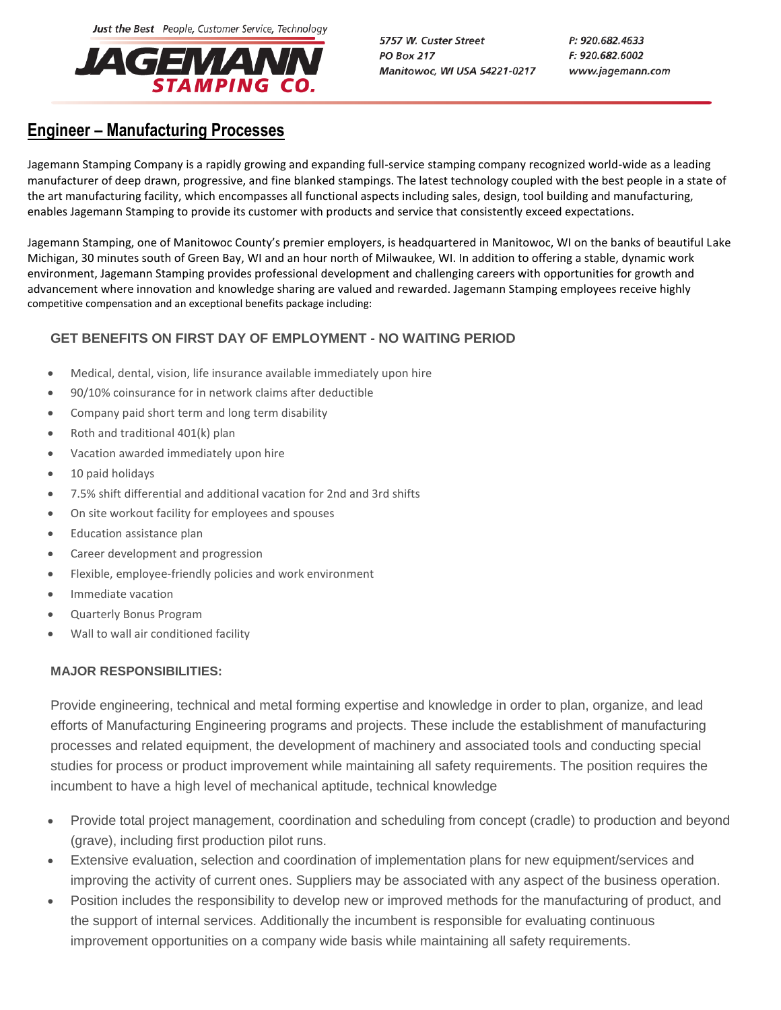Just the Best People, Customer Service, Technology



5757 W. Custer Street **PO Box 217** Manitowoc, WI USA 54221-0217 P: 920.682.4633 F: 920.682.6002 www.jagemann.com

## **Engineer – Manufacturing Processes**

Jagemann Stamping Company is a rapidly growing and expanding full-service stamping company recognized world-wide as a leading manufacturer of deep drawn, progressive, and fine blanked stampings. The latest technology coupled with the best people in a state of the art manufacturing facility, which encompasses all functional aspects including sales, design, tool building and manufacturing, enables Jagemann Stamping to provide its customer with products and service that consistently exceed expectations.

Jagemann Stamping, one of Manitowoc County's premier employers, is headquartered in Manitowoc, WI on the banks of beautiful Lake Michigan, 30 minutes south of Green Bay, WI and an hour north of Milwaukee, WI. In addition to offering a stable, dynamic work environment, Jagemann Stamping provides professional development and challenging careers with opportunities for growth and advancement where innovation and knowledge sharing are valued and rewarded. Jagemann Stamping employees receive highly competitive compensation and an exceptional benefits package including:

## **GET BENEFITS ON FIRST DAY OF EMPLOYMENT - NO WAITING PERIOD**

- Medical, dental, vision, life insurance available immediately upon hire
- 90/10% coinsurance for in network claims after deductible
- Company paid short term and long term disability
- Roth and traditional 401(k) plan
- Vacation awarded immediately upon hire
- 10 paid holidays
- 7.5% shift differential and additional vacation for 2nd and 3rd shifts
- On site workout facility for employees and spouses
- **•** Education assistance plan
- Career development and progression
- Flexible, employee-friendly policies and work environment
- Immediate vacation
- Quarterly Bonus Program
- Wall to wall air conditioned facility

## **MAJOR RESPONSIBILITIES:**

Provide engineering, technical and metal forming expertise and knowledge in order to plan, organize, and lead efforts of Manufacturing Engineering programs and projects. These include the establishment of manufacturing processes and related equipment, the development of machinery and associated tools and conducting special studies for process or product improvement while maintaining all safety requirements. The position requires the incumbent to have a high level of mechanical aptitude, technical knowledge

- Provide total project management, coordination and scheduling from concept (cradle) to production and beyond (grave), including first production pilot runs.
- Extensive evaluation, selection and coordination of implementation plans for new equipment/services and improving the activity of current ones. Suppliers may be associated with any aspect of the business operation.
- Position includes the responsibility to develop new or improved methods for the manufacturing of product, and the support of internal services. Additionally the incumbent is responsible for evaluating continuous improvement opportunities on a company wide basis while maintaining all safety requirements.